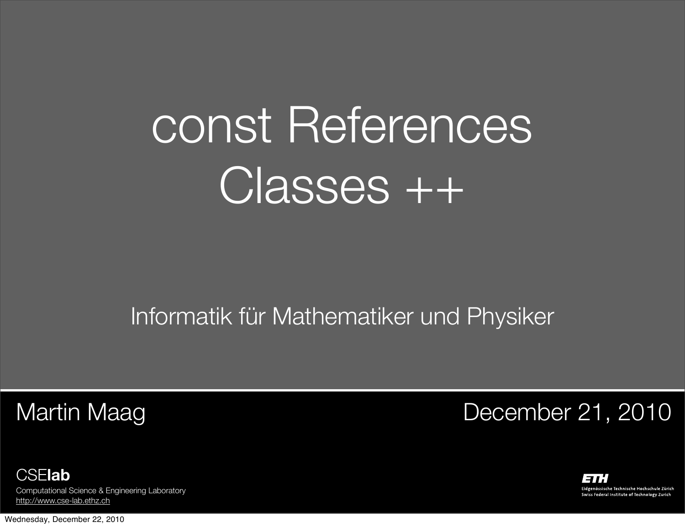## const References Classes ++

Informatik für Mathematiker und Physiker

Martin Maag December 21, 2010

CSE**lab** Computational Science & Engineering Laboratory [http://www.cse-lab.ethz.ch](http://www.icos.ethz.ch/cse)

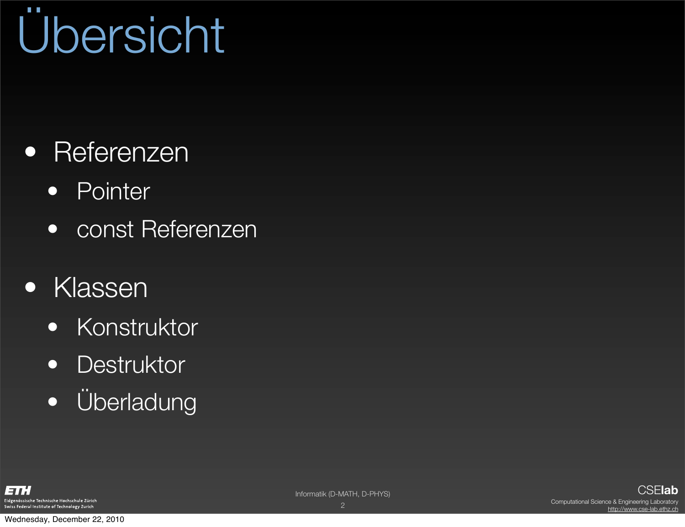# Übersicht

- Referenzen
	- Pointer
	- const Referenzen
- Klassen
	- Konstruktor
	- Destruktor
	- Überladung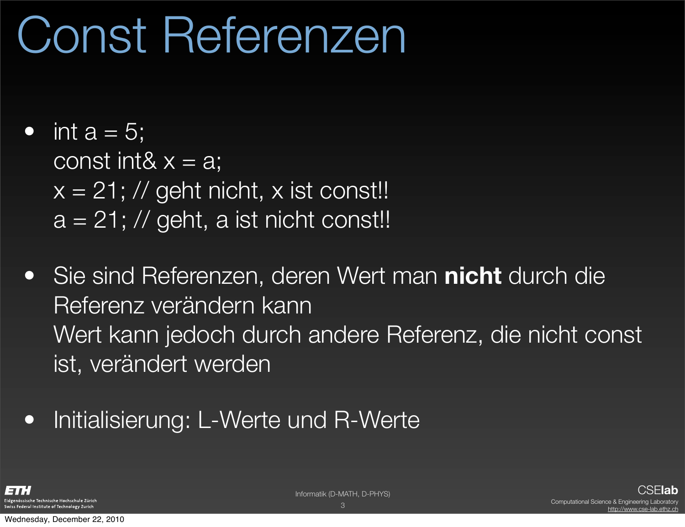### Const Referenzen

- int  $a = 5$ ; const int&  $x = a$ ;  $x = 21$ ; // geht nicht, x ist const!!  $a = 21$ ; // geht, a ist nicht const!!
- Sie sind Referenzen, deren Wert man **nicht** durch die Referenz verändern kann Wert kann jedoch durch andere Referenz, die nicht const ist, verändert werden
- Initialisierung: L-Werte und R-Werte

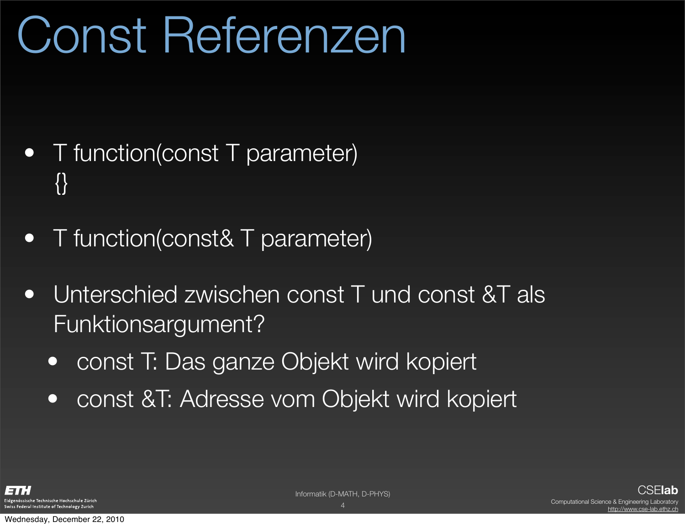## Const Referenzen

- T function(const T parameter) {}
- T function(const& T parameter)
- Unterschied zwischen const T und const &T als Funktionsargument?
	- const T: Das ganze Objekt wird kopiert
	- const &T: Adresse vom Objekt wird kopiert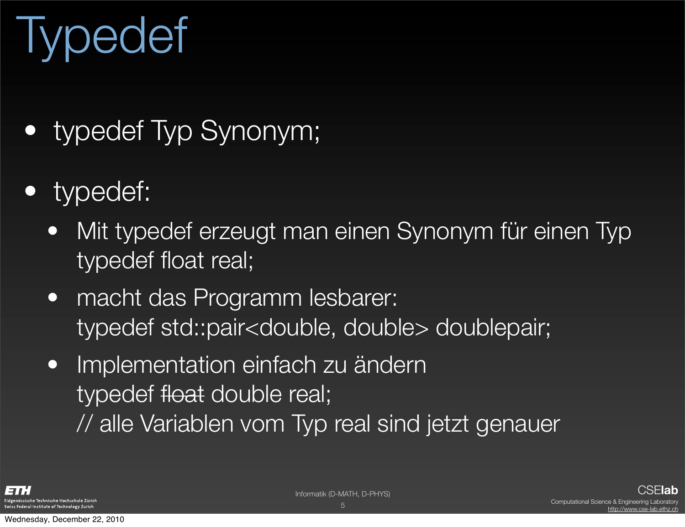## **Vpedef**

- typedef Typ Synonym;
- typedef:
	- Mit typedef erzeugt man einen Synonym für einen Typ typedef float real;
	- macht das Programm lesbarer: typedef std::pair<double, double> doublepair;
	- Implementation einfach zu ändern typedef float double real; // alle Variablen vom Typ real sind jetzt genauer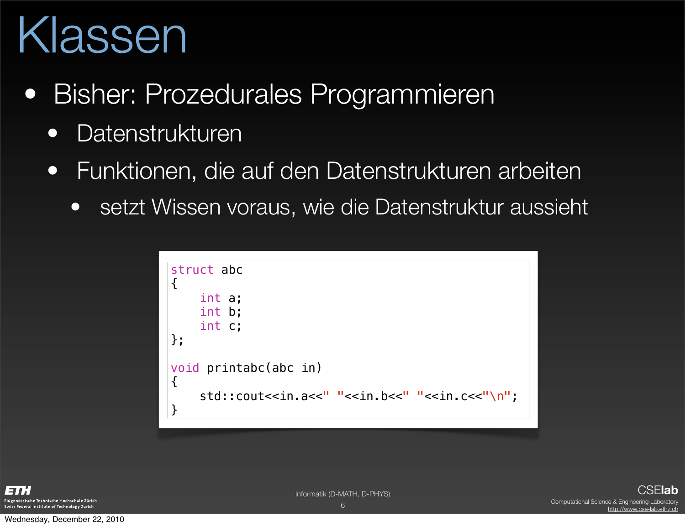### lassen

- Bisher: Prozedurales Programmieren
	- Datenstrukturen
	- Funktionen, die auf den Datenstrukturen arbeiten
		- setzt Wissen voraus, wie die Datenstruktur aussieht

```
struct abc
\{int a;
    int b;
    int c;
};
void printabc(abc in)
\{std::cout<<in.a<<" "<<in.b<<" "<<in.c<<"\n";
}
```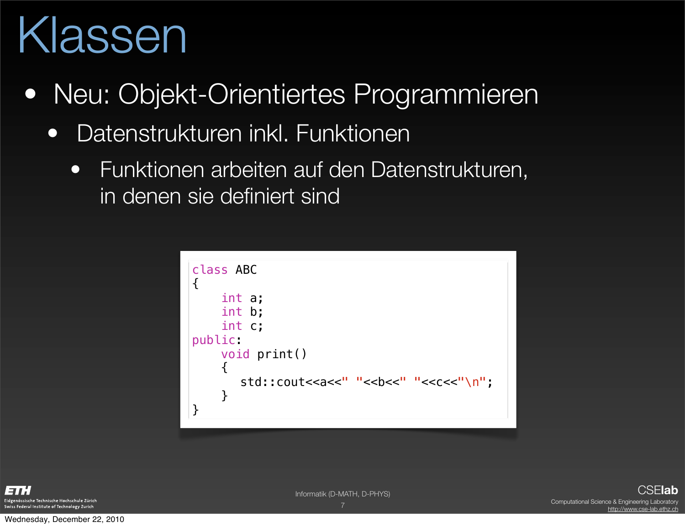#### Klassen

- Neu: Objekt-Orientiertes Programmieren
	- Datenstrukturen inkl. Funktionen
		- Funktionen arbeiten auf den Datenstrukturen, in denen sie definiert sind

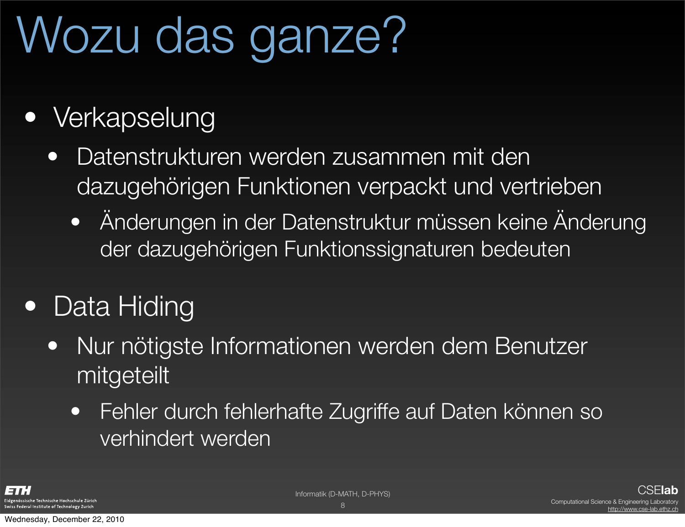## Wozu das ganze?

#### **Verkapselung**

- Datenstrukturen werden zusammen mit den dazugehörigen Funktionen verpackt und vertrieben
	- Änderungen in der Datenstruktur müssen keine Änderung der dazugehörigen Funktionssignaturen bedeuten

#### • Data Hiding

- Nur nötigste Informationen werden dem Benutzer mitgeteilt
	- Fehler durch fehlerhafte Zugriffe auf Daten können so verhindert werden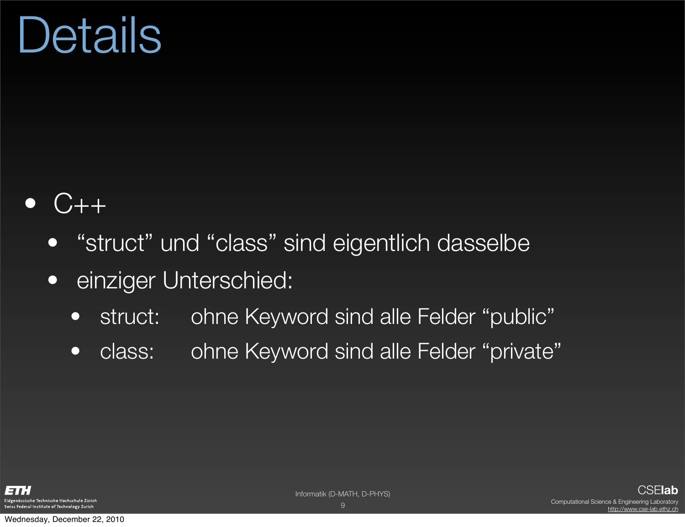#### Details

#### $O++$

- "struct" und "class" sind eigentlich dasselbe
- einziger Unterschied:
	- struct: ohne Keyword sind alle Felder "public"
	- class: ohne Keyword sind alle Felder "private"

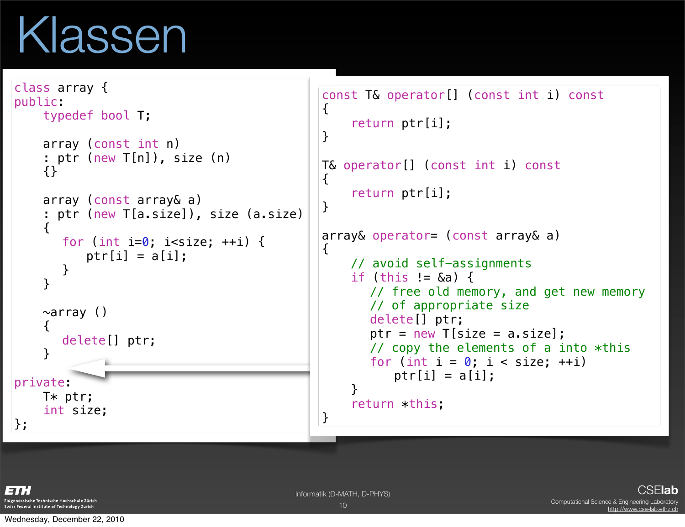### Klassen

```
class array {
public:
    typedef bool T;
    array (const int n)
    : ptr (new T[n]), size (n)
    {}
    array (const array& a)
     ptr (new T[a.size]), size (a.size)
    \{for (int i=0; i<size; ++i) {
          ptr[i] = a[i];\}}
    \simarray ()
    \{delete[] ptr;
    }
private:
    T* ptr;
    int size;
};
                                              const T& operator[] (const int i) const
                                              \left\{ \right.return ptr[i];
                                              }
                                              T& operator[] (const int i) const
                                              \{return ptr[i];
                                              }
                                              array& operator= (const array& a)
                                              \left\{ \right.// avoid self-assignments
                                                   if (this != \deltaa) {
                                                      // free old memory, and get new memory
                                                      // of appropriate size
                                                      delete[] ptr;
                                                      ptr = new T[size = a.size];// copy the elements of a into *thisfor (int i = 0; i < size; ++i)
                                                         ptr[i] = a[i];}
                                                   return *this;
                                              }
```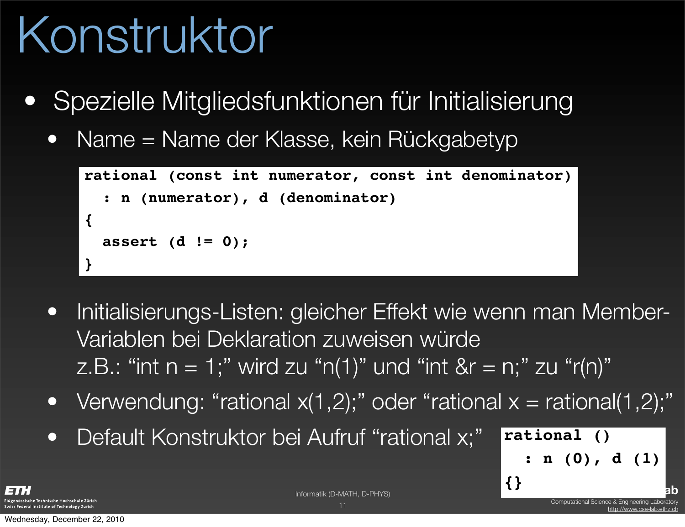### Konstruktor en de

- Spezielle Mitgliedsfunktionen für Initialisierung ()\*#)# @9A(0;=)%B,
	- Name = Name der Klasse, kein Rückgabetyp **// POST: \*this is initialized with numerator / denominator**

```
rational (const int numerator, const int denominator)
  : n (numerator), d (denominator)
{
 assert (d != 0);
}
                                     !"#$!"%&'()*+,-.)#'/),#$
                                     %0#$12"$+(&.."$rational
```
- Initialisierungs-Listen: gleicher Effekt wie wenn man Member-Variablen bei Deklaration zuweisen würde z.B.: "int  $n = 1$ ;" wird zu "n(1)" und "int  $8r = n$ ;" zu "r(n)" . 2--5,  $(1, 3, 3)$  3  $(1, 3, 2)$  3  $(1, 3, 3)$
- Verwendung: "rational  $x(1,2)$ ;" oder "rational  $x =$  rational(1,2);"  $\lambda$  -  $\lceil$  duvidiq  $\lceil$  ,  $\angle$  ),
- Default Konstruktor bei Aufruf "rational x;"

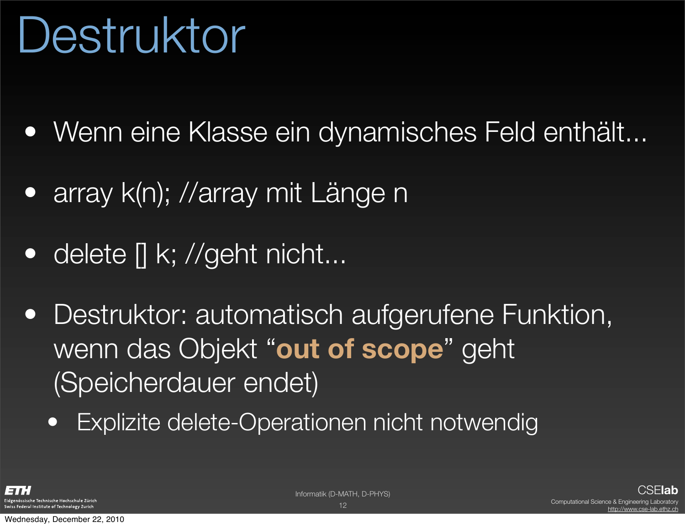### Destruktor

- Wenn eine Klasse ein dynamisches Feld enthält...
- array k(n); //array mit Länge n
- delete [] k; //geht nicht...
- Destruktor: automatisch aufgerufene Funktion, wenn das Objekt "**out of scope**" geht (Speicherdauer endet)
	- Explizite delete-Operationen nicht notwendig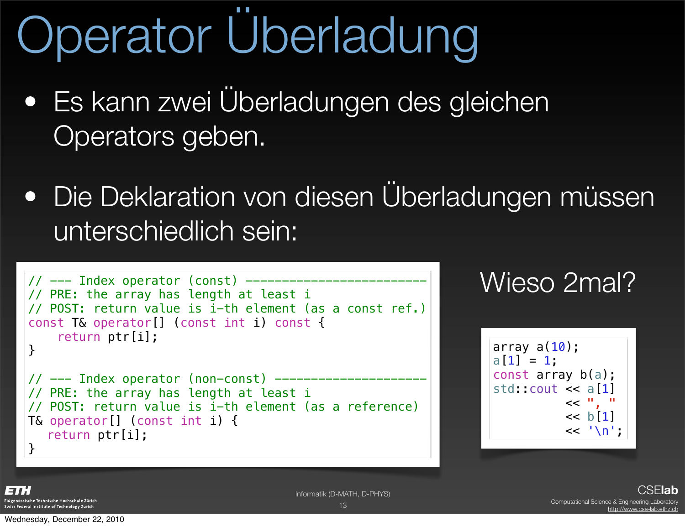## Operator Überladung

- Es kann zwei Überladungen des gleichen Operators geben.
- Die Deklaration von diesen Überladungen müssen unterschiedlich sein:

```
// --- Index operator (const) -------
// PRE: the array has length at least i
// POST: return value is i-th element (as a const ref.)
const T& operator[] (const int i) const {
     return ptr[i];
}
1/ --- Index operator (non-const) ---
  PRE: the array has length at least i
// POST: return value is i-th element (as a reference)
T& operator[] (const int i) {
  return ptr[i];
}
```
Wieso 2mal?

array  $a(10)$ ;  $a[1] = 1;$ const array b(a); std::cout << a[1]  $<<$  ", "  $\lt$   $\mid$   $\mid$   $\mid$   $\mid$  $<<$  '\n';

Eidgenössische Technische Hochschule Zürich Swiss Federal Institute of Technology Zurich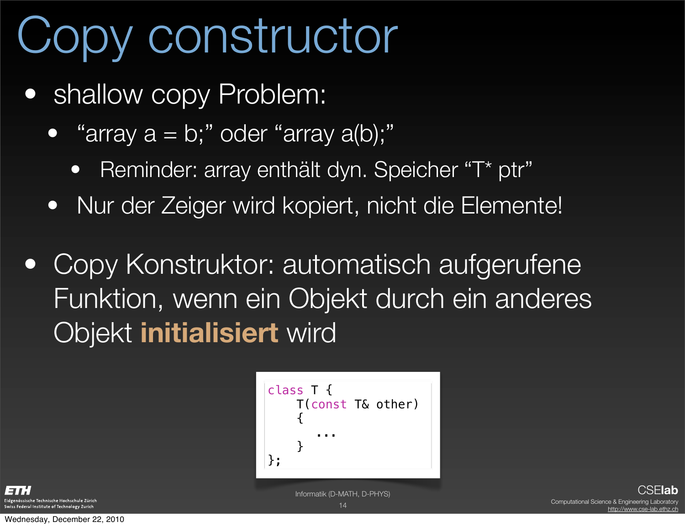## Copy constructor

- shallow copy Problem:
	- "array  $a = b$ ;" oder "array  $a(b)$ ;"
		- Reminder: array enthält dyn. Speicher "T\* ptr"
	- Nur der Zeiger wird kopiert, nicht die Elemente!
- Copy Konstruktor: automatisch aufgerufene Funktion, wenn ein Objekt durch ein anderes Objekt **initialisiert** wird

| class T {<br>T(const T& other) |
|--------------------------------|
|                                |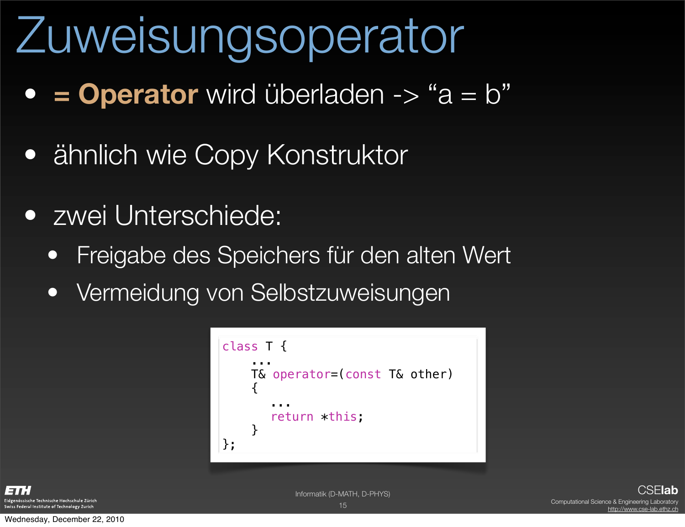### Zuweisungsoperator

- $\bullet$  = Operator wird überladen  $\rightarrow$  "a = b"
- ähnlich wie Copy Konstruktor
- zwei Unterschiede:
	- Freigabe des Speichers für den alten Wert
	- Vermeidung von Selbstzuweisungen

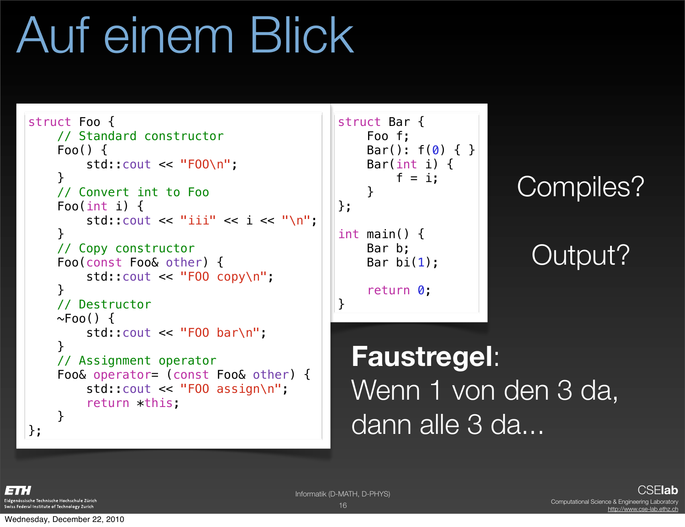### Auf einem Blick

```
struct Foo {
     // Standard constructor
     Foo() {
          std::cout << "FOO\n";
     }
     // Convert int to Foo
     Foo(int i) {
         std::\text{cut} \ll "\text{iii} \ll 1 \ll "\text{m}";
     }
     // Copy constructor
     Foo(const Foo& other) {
         std::cout << "F00 copy\n";
     }
     // Destructor
    \simFoo() {
         std:: cout << "F00 bar\n";
     }
     // Assignment operator
     Foo& operator= (const Foo& other) {
         std:: cout << "F00 assign\n";
         return *this;
     }
};
```


#### Compiles?

#### Output?

```
Wenn 1 von den 3 da, 
dann alle 3 da...
```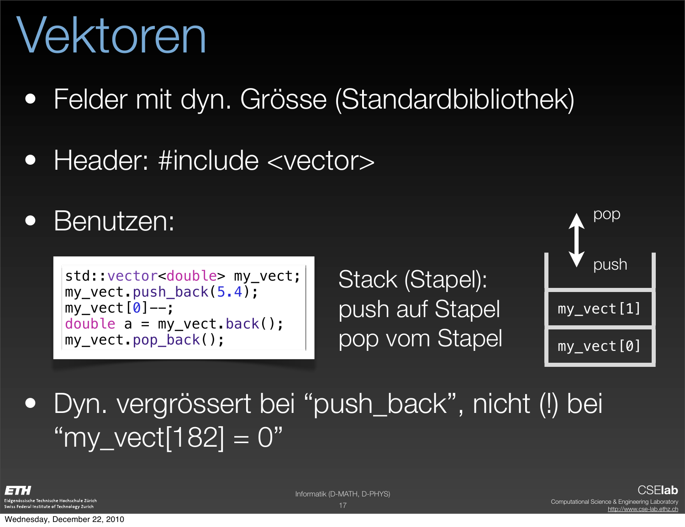### Vektoren

- Felder mit dyn. Grösse (Standardbibliothek)
- Header: #include <vector>
- Benutzen:

std::vector<double> my\_vect; my\_vect.push\_back(5.4);  $my\_vect[0] \rightarrow$ ; double a = my\_vect.back(); my\_vect.pop\_back();

Stack (Stapel): push auf Stapel pop vom Stapel



• Dyn. vergrössert bei "push\_back", nicht (!) bei "my\_vect[182]  $= 0"$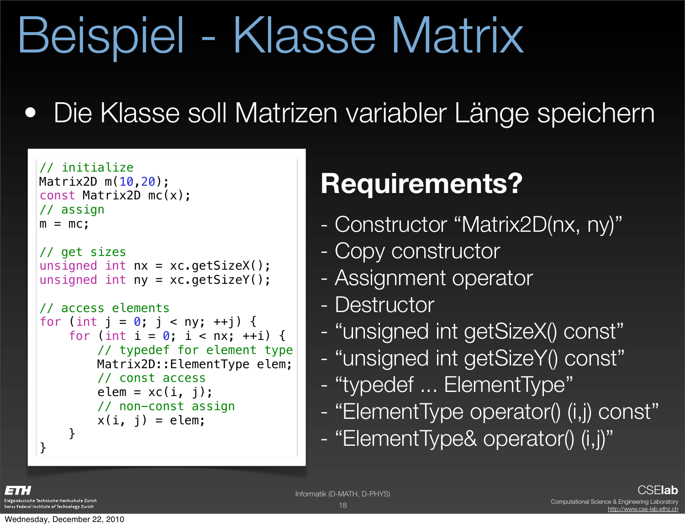#### Beispiel - Klasse Matrix

• Die Klasse soll Matrizen variabler Länge speichern

```
// initialize
Matrix2D m(10,20);
const Matrix2D mc(x);
// assign
m = mc;
```

```
// get sizes
unsigned int nx = xc.getSizeX();
unsigned int ny = xc.getSizeY();
```

```
// access elements
for (int j = 0; j < ny; ++j) {
    for (int i = 0; i < nx; ++i) {
         // typedef for element type
         Matrix2D::ElementType elem;
         // const access
        elem = xc(i, j); // non-const assign
        x(i, j) = elem; }
}
```
#### **Requirements?**

- Constructor "Matrix2D(nx, ny)"
- Copy constructor
- Assignment operator
- Destructor
- "unsigned int getSizeX() const"
- "unsigned int getSizeY() const"
- "typedef ... ElementType"
- "ElementType operator() (i,j) const"
- "ElementType& operator() (i,j)"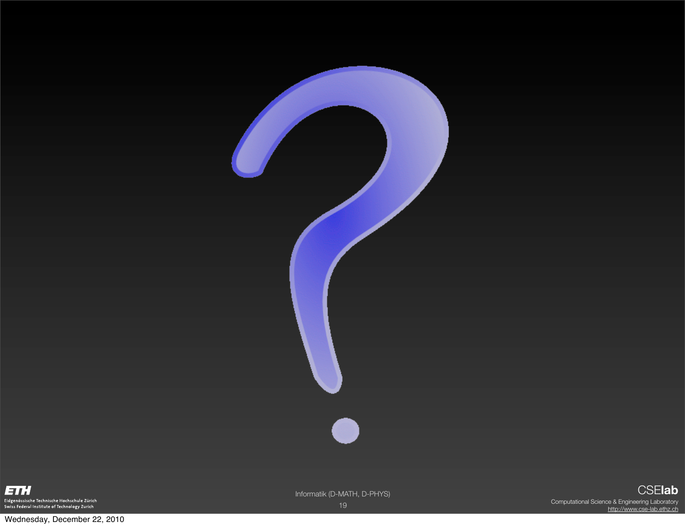

Informatik (D-MATH, D-PHYS)